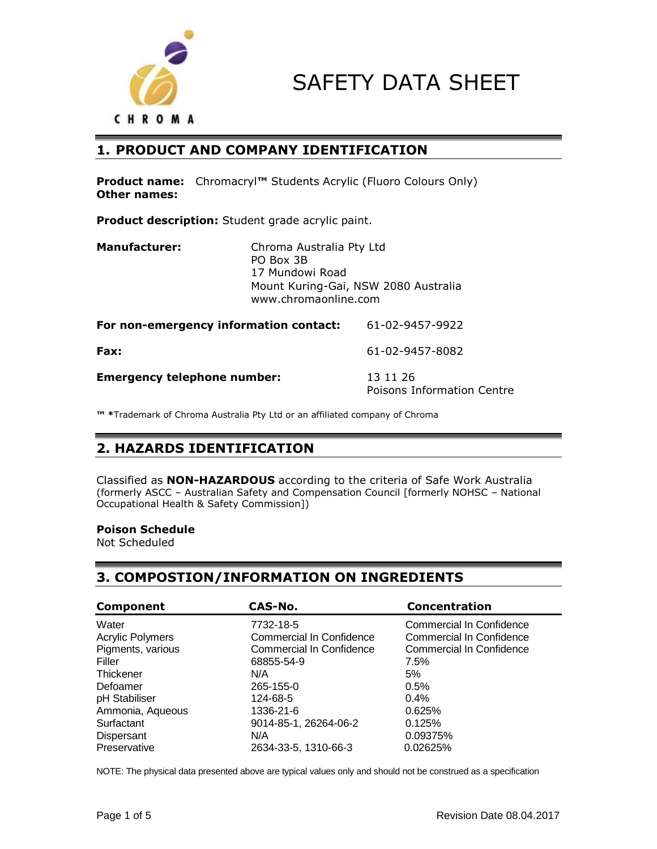



### **1. PRODUCT AND COMPANY IDENTIFICATION**

**Product name:** Chromacryl**™** Students Acrylic (Fluoro Colours Only) **Other names:**

**Product description:** Student grade acrylic paint.

| <b>Manufacturer:</b>                   | Chroma Australia Pty Ltd<br>PO Box 3B<br>17 Mundowi Road<br>Mount Kuring-Gai, NSW 2080 Australia<br>www.chromaonline.com |                                        |  |
|----------------------------------------|--------------------------------------------------------------------------------------------------------------------------|----------------------------------------|--|
| For non-emergency information contact: |                                                                                                                          | 61-02-9457-9922                        |  |
| Fax:                                   |                                                                                                                          | 61-02-9457-8082                        |  |
| <b>Emergency telephone number:</b>     |                                                                                                                          | 13 11 26<br>Poisons Information Centre |  |

**™ \***Trademark of Chroma Australia Pty Ltd or an affiliated company of Chroma

# **2. HAZARDS IDENTIFICATION**

Classified as **NON-HAZARDOUS** according to the criteria of Safe Work Australia (formerly ASCC – Australian Safety and Compensation Council [formerly NOHSC – National Occupational Health & Safety Commission])

#### **Poison Schedule**

Not Scheduled

### **3. COMPOSTION/INFORMATION ON INGREDIENTS**

| <b>Component</b>        | CAS-No.                         | <b>Concentration</b>            |
|-------------------------|---------------------------------|---------------------------------|
| Water                   | 7732-18-5                       | <b>Commercial In Confidence</b> |
| <b>Acrylic Polymers</b> | <b>Commercial In Confidence</b> | Commercial In Confidence        |
| Pigments, various       | <b>Commercial In Confidence</b> | <b>Commercial In Confidence</b> |
| Filler                  | 68855-54-9                      | 7.5%                            |
| Thickener               | N/A                             | 5%                              |
| Defoamer                | 265-155-0                       | 0.5%                            |
| pH Stabiliser           | 124-68-5                        | $0.4\%$                         |
| Ammonia, Aqueous        | 1336-21-6                       | 0.625%                          |
| Surfactant              | 9014-85-1, 26264-06-2           | 0.125%                          |
| Dispersant              | N/A                             | 0.09375%                        |
| Preservative            | 2634-33-5, 1310-66-3            | 0.02625%                        |

NOTE: The physical data presented above are typical values only and should not be construed as a specification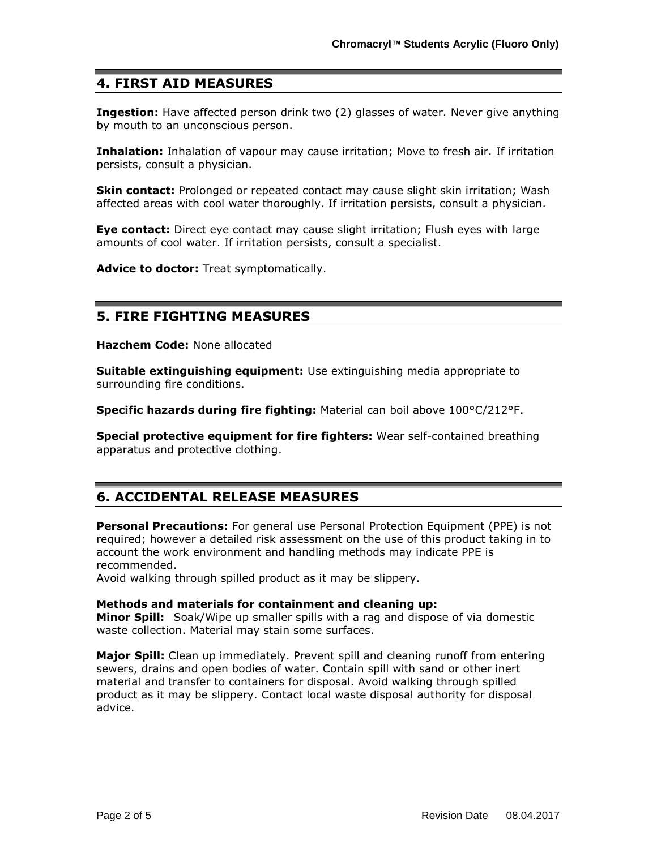### **4. FIRST AID MEASURES**

**Ingestion:** Have affected person drink two (2) glasses of water. Never give anything by mouth to an unconscious person.

**Inhalation:** Inhalation of vapour may cause irritation; Move to fresh air. If irritation persists, consult a physician.

**Skin contact:** Prolonged or repeated contact may cause slight skin irritation; Wash affected areas with cool water thoroughly. If irritation persists, consult a physician.

**Eye contact:** Direct eye contact may cause slight irritation; Flush eyes with large amounts of cool water. If irritation persists, consult a specialist.

**Advice to doctor:** Treat symptomatically.

### **5. FIRE FIGHTING MEASURES**

**Hazchem Code:** None allocated

**Suitable extinguishing equipment:** Use extinguishing media appropriate to surrounding fire conditions.

**Specific hazards during fire fighting:** Material can boil above 100°C/212°F.

**Special protective equipment for fire fighters:** Wear self-contained breathing apparatus and protective clothing.

## **6. ACCIDENTAL RELEASE MEASURES**

**Personal Precautions:** For general use Personal Protection Equipment (PPE) is not required; however a detailed risk assessment on the use of this product taking in to account the work environment and handling methods may indicate PPE is recommended.

Avoid walking through spilled product as it may be slippery.

#### **Methods and materials for containment and cleaning up:**

**Minor Spill:** Soak/Wipe up smaller spills with a rag and dispose of via domestic waste collection. Material may stain some surfaces.

**Major Spill:** Clean up immediately. Prevent spill and cleaning runoff from entering sewers, drains and open bodies of water. Contain spill with sand or other inert material and transfer to containers for disposal. Avoid walking through spilled product as it may be slippery. Contact local waste disposal authority for disposal advice.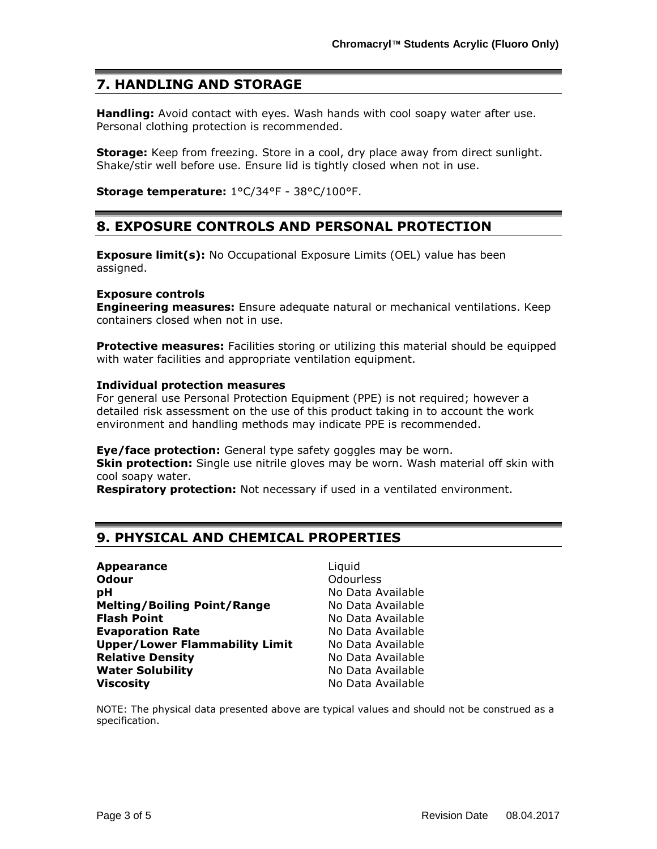# **7. HANDLING AND STORAGE**

**Handling:** Avoid contact with eyes. Wash hands with cool soapy water after use. Personal clothing protection is recommended.

**Storage:** Keep from freezing. Store in a cool, dry place away from direct sunlight. Shake/stir well before use. Ensure lid is tightly closed when not in use.

**Storage temperature:** 1°C/34°F - 38°C/100°F.

### **8. EXPOSURE CONTROLS AND PERSONAL PROTECTION**

**Exposure limit(s):** No Occupational Exposure Limits (OEL) value has been assigned.

#### **Exposure controls**

**Engineering measures:** Ensure adequate natural or mechanical ventilations. Keep containers closed when not in use.

**Protective measures:** Facilities storing or utilizing this material should be equipped with water facilities and appropriate ventilation equipment.

#### **Individual protection measures**

For general use Personal Protection Equipment (PPE) is not required; however a detailed risk assessment on the use of this product taking in to account the work environment and handling methods may indicate PPE is recommended.

**Eye/face protection:** General type safety goggles may be worn.

**Skin protection:** Single use nitrile gloves may be worn. Wash material off skin with cool soapy water.

**Respiratory protection:** Not necessary if used in a ventilated environment.

## **9. PHYSICAL AND CHEMICAL PROPERTIES**

| <b>Appearance</b>                     |
|---------------------------------------|
| <b>Odour</b>                          |
| рH                                    |
| <b>Melting/Boiling Point/Range</b>    |
| <b>Flash Point</b>                    |
| <b>Evaporation Rate</b>               |
| <b>Upper/Lower Flammability Limit</b> |
| <b>Relative Density</b>               |
| <b>Water Solubility</b>               |
| <b>Viscosity</b>                      |

Liquid **Odourless pH** No Data Available **Melting/Boiling Point/Range** No Data Available **Flash Point** No Data Available **Evaporation Rate** No Data Available **No Data Available Relative Density** No Data Available **No Data Available Viscosity** No Data Available

NOTE: The physical data presented above are typical values and should not be construed as a specification.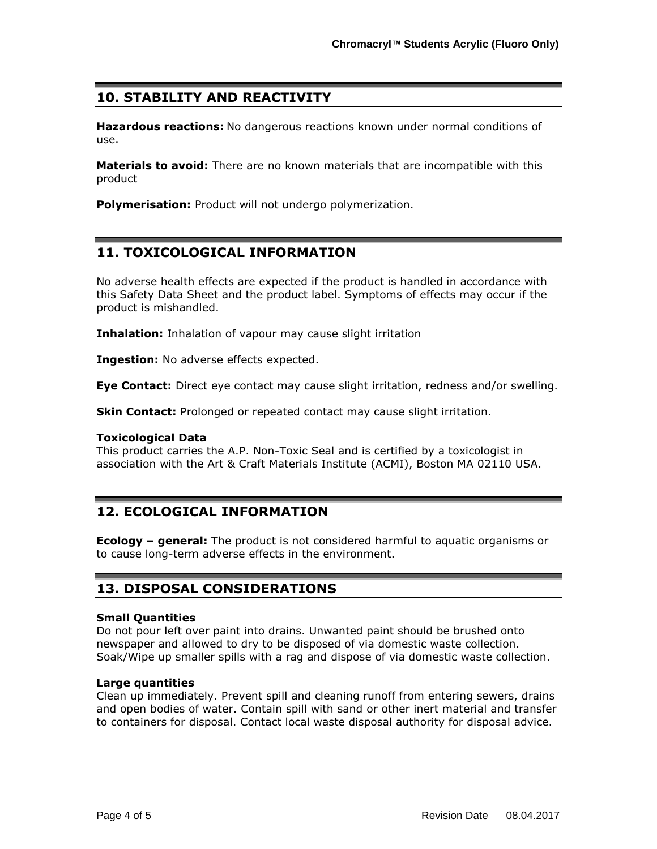# **10. STABILITY AND REACTIVITY**

**Hazardous reactions:** No dangerous reactions known under normal conditions of use.

**Materials to avoid:** There are no known materials that are incompatible with this product

**Polymerisation:** Product will not undergo polymerization.

# **11. TOXICOLOGICAL INFORMATION**

No adverse health effects are expected if the product is handled in accordance with this Safety Data Sheet and the product label. Symptoms of effects may occur if the product is mishandled.

**Inhalation:** Inhalation of vapour may cause slight irritation

**Ingestion:** No adverse effects expected.

**Eye Contact:** Direct eye contact may cause slight irritation, redness and/or swelling.

**Skin Contact:** Prolonged or repeated contact may cause slight irritation.

#### **Toxicological Data**

This product carries the A.P. Non-Toxic Seal and is certified by a toxicologist in association with the Art & Craft Materials Institute (ACMI), Boston MA 02110 USA.

## **12. ECOLOGICAL INFORMATION**

**Ecology – general:** The product is not considered harmful to aquatic organisms or to cause long-term adverse effects in the environment.

## **13. DISPOSAL CONSIDERATIONS**

#### **Small Quantities**

Do not pour left over paint into drains. Unwanted paint should be brushed onto newspaper and allowed to dry to be disposed of via domestic waste collection. Soak/Wipe up smaller spills with a rag and dispose of via domestic waste collection.

#### **Large quantities**

Clean up immediately. Prevent spill and cleaning runoff from entering sewers, drains and open bodies of water. Contain spill with sand or other inert material and transfer to containers for disposal. Contact local waste disposal authority for disposal advice.